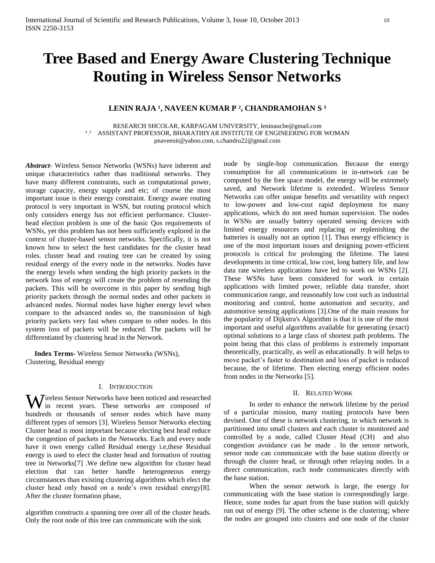# **Tree Based and Energy Aware Clustering Technique Routing in Wireless Sensor Networks**

# **LENIN RAJA ¹, NAVEEN KUMAR P ², CHANDRAMOHAN S ³**

RESEARCH SHCOLAR, KARPAGAM UNIVERSITY, [leninaucbe@gmail.com](mailto:leninaucbe@gmail.com) <sup>2,3</sup> ASSISTANT PROFESSOR, BHARATHIYAR INSTITUTE OF ENGINEERING FOR WOMAN [pnaveenit@yahoo.com,](mailto:pnaveenit@yahoo.com) [s.chandru22@gmail.com](mailto:s.chandru22@gmail.com)

*Abstract***-** Wireless Sensor Networks (WSNs) have inherent and unique characteristics rather than traditional networks. They have many different constraints, such as computational power, storage capacity, energy supply and etc; of course the most important issue is their energy constraint. Energy aware routing protocol is very important in WSN, but routing protocol which only considers energy has not efficient performance. Clusterhead election problem is one of the basic Qos requirements of WSNs, yet this problem has not been sufficiently explored in the context of cluster-based sensor networks. Specifically, it is not known how to select the best candidates for the cluster head roles. cluster head and routing tree can be created by using residual energy of the every node in the networks. Nodes have the energy levels when sending the high priority packets in the network loss of energy will create the problem of resending the packets. This will be overcome in this paper by sending high priority packets through the normal nodes and other packets in advanced nodes. Normal nodes have higher energy level when compare to the advanced nodes so, the transmission of high priority packets very fast when compare to other nodes. In this system loss of packets will be reduced. The packets will be differentiated by clustering head in the Network.

 **Index Terms-** Wireless Sensor Networks (WSNs), Clustering, Residual energy

#### I. INTRODUCTION

Wireless Sensor Networks have been noticed and researched<br>in recent years. These networks are composed of in recent years. These networks are composed of hundreds or thousands of sensor nodes which have many different types of sensors [3]. Wireless Sensor Networks electing Cluster head is most important because electing best head reduce the congestion of packets in the Networks. Each and every node have it own energy called Residual energy i.e,these Residual energy is used to elect the cluster head and formation of routing tree in Networks[7] .We define new algorithm for cluster head election that can better handle heterogeneous energy circumstances than existing clustering algorithms which elect the cluster head only based on a node's own residual energy[8]. After the cluster formation phase,

algorithm constructs a spanning tree over all of the cluster heads. Only the root node of this tree can communicate with the sink

node by single-hop communication. Because the energy consumption for all communications in in-network can be computed by the free space model, the energy will be extremely saved, and Network lifetime is extended.. Wireless Sensor Networks can offer unique benefits and versatility with respect to low-power and low-cost rapid deployment for many applications, which do not need human supervision. The nodes in WSNs are usually battery operated sensing devices with limited energy resources and replacing or replenishing the batteries is usually not an option [1]. Thus energy efficiency is one of the most important issues and designing power-efficient protocols is critical for prolonging the lifetime. The latest developments in time critical, low cost, long battery life, and low data rate wireless applications have led to work on WSNs [2]. These WSNs have been considered for work in certain applications with limited power, reliable data transfer, short communication range, and reasonably low cost such as industrial monitoring and control, home automation and security, and automotive sensing applications [3].One of the main reasons for the popularity of Dijkstra's Algorithm is that it is one of the most important and useful algorithms available for generating (exact) optimal solutions to a large class of shortest path problems. The point being that this class of problems is extremely important theoretically, practically, as well as educationally. It will helps to move packet's faster to destination and loss of packet is reduced because, the of lifetime. Then electing energy efficient nodes from nodes in the Networks [5].

#### II. RELATED WORK

In order to enhance the network lifetime by the period of a particular mission, many routing protocols have been devised. One of these is network clustering, in which network is partitioned into small clusters and each cluster is monitored and controlled by a node, called Cluster Head (CH) and also congestion avoidance can be made . In the sensor network, sensor node can communicate with the base station directly or through the cluster head, or through other relaying nodes. In a direct communication, each node communicates directly with the base station.

When the sensor network is large, the energy for communicating with the base station is correspondingly large. Hence, some nodes far apart from the base station will quickly run out of energy [9]. The other scheme is the clustering; where the nodes are grouped into clusters and one node of the cluster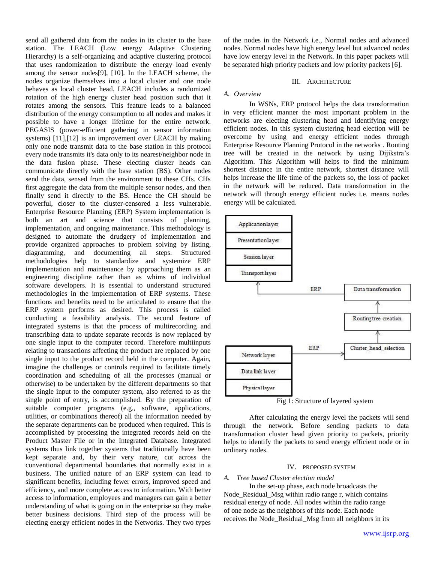send all gathered data from the nodes in its cluster to the base station. The LEACH (Low energy Adaptive Clustering Hierarchy) is a self-organizing and adaptive clustering protocol that uses randomization to distribute the energy load evenly among the sensor nodes[9], [10]. In the LEACH scheme, the nodes organize themselves into a local cluster and one node behaves as local cluster head. LEACH includes a randomized rotation of the high energy cluster head position such that it rotates among the sensors. This feature leads to a balanced distribution of the energy consumption to all nodes and makes it possible to have a longer lifetime for the entire network. PEGASIS (power-efficient gathering in sensor information systems) [11],[12] is an improvement over LEACH by making only one node transmit data to the base station in this protocol every node transmits it's data only to its nearest/neighbor node in the data fusion phase. These electing cluster heads can communicate directly with the base station (BS). Other nodes send the data, sensed from the environment to these CHs. CHs first aggregate the data from the multiple sensor nodes, and then finally send it directly to the BS. Hence the CH should be powerful, closer to the cluster-censored a less vulnerable. Enterprise Resource Planning (ERP) System implementation is both an art and science that consists of planning, implementation, and ongoing maintenance. This methodology is designed to automate the drudgery of implementation and provide organized approaches to problem solving by listing, diagramming, and documenting all steps. Structured methodologies help to standardize and systemize ERP implementation and maintenance by approaching them as an engineering discipline rather than as whims of individual software developers. It is essential to understand structured methodologies in the implementation of ERP systems. These functions and benefits need to be articulated to ensure that the ERP system performs as desired. This process is called conducting a feasibility analysis. The second feature of integrated systems is that the process of multirecording and transcribing data to update separate records is now replaced by one single input to the computer record. Therefore multiinputs relating to transactions affecting the product are replaced by one single input to the product record held in the computer. Again, imagine the challenges or controls required to facilitate timely coordination and scheduling of all the processes (manual or otherwise) to be undertaken by the different departments so that the single input to the computer system, also referred to as the single point of entry, is accomplished. By the preparation of suitable computer programs (e.g., software, applications, utilities, or combinations thereof) all the information needed by the separate departments can be produced when required. This is accomplished by processing the integrated records held on the Product Master File or in the Integrated Database. Integrated systems thus link together systems that traditionally have been kept separate and, by their very nature, cut across the conventional departmental boundaries that normally exist in a business. The unified nature of an ERP system can lead to significant benefits, including fewer errors, improved speed and efficiency, and more complete access to information. With better access to information, employees and managers can gain a better understanding of what is going on in the enterprise so they make better business decisions. Third step of the process will be electing energy efficient nodes in the Networks. They two types

of the nodes in the Network i.e., Normal nodes and advanced nodes. Normal nodes have high energy level but advanced nodes have low energy level in the Network. In this paper packets will be separated high priority packets and low priority packets [6].

# III. ARCHITECTURE

# *A. Overview*

In WSNs, ERP protocol helps the data transformation in very efficient manner the most important problem in the networks are electing clustering head and identifying energy efficient nodes. In this system clustering head election will be overcome by using and energy efficient nodes through Enterprise Resource Planning Protocol in the networks . Routing tree will be created in the network by using Dijikstra's Algorithm. This Algorithm will helps to find the minimum shortest distance in the entire network, shortest distance will helps increase the life time of the packets so, the loss of packet in the network will be reduced. Data transformation in the network will through energy efficient nodes i.e. means nodes energy will be calculated.



Fig 1: Structure of layered system

After calculating the energy level the packets will send through the network. Before sending packets to data transformation cluster head given priority to packets, priority helps to identify the packets to send energy efficient node or in ordinary nodes.

#### IV. PROPOSED SYSTEM

#### *A. Tree based Cluster election model*

In the set-up phase, each node broadcasts the Node\_Residual\_Msg within radio range r, which contains residual energy of node. All nodes within the radio range of one node as the neighbors of this node. Each node receives the Node\_Residual\_Msg from all neighbors in its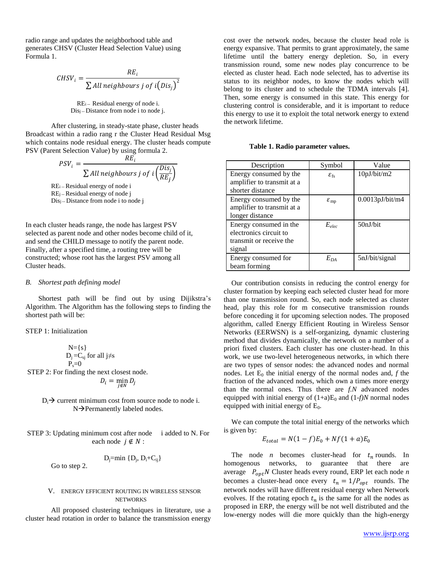radio range and updates the neighborhood table and generates CHSV (Cluster Head Selection Value) using Formula 1.

$$
CHSV_i = \frac{RE_i}{\sum All\ neighbours\ j\ of\ i\left(Dis_j\right)^2}
$$

RE<sub>i</sub>-Residual energy of node i. Disj -- Distance from node i to node j.

After clustering, in steady-state phase, cluster heads Broadcast within a radio rang r the Cluster Head Residual Msg which contains node residual energy. The cluster heads compute PSV (Parent Selection Value) by using formula 2.

$$
PSV_i = \frac{RE_i}{\sum All\ neighbors j\ of\ i \left(\frac{Dis_j}{RE_j}\right)}
$$
  
REi–Residual energy of node i  
REj–Residual energy of node j

Disj -- Distance from node i to node j

In each cluster heads range, the node has largest PSV selected as parent node and other nodes become child of it, and send the CHILD message to notify the parent node. Finally, after a specified time, a routing tree will be constructed; whose root has the largest PSV among all Cluster heads.

#### *B. Shortest path defining model*

Shortest path will be find out by using Dijikstra's Algorithm. The Algorithm has the following steps to finding the shortest path will be:

STEP 1: Initialization

$$
\begin{array}{c}\nN=\{s\} \\
D_j=C_{sj} \text{ for all } j \neq s \\
P_s=0\n\end{array}
$$

STEP 2: For finding the next closest node.

$$
D_i = \min_{j \notin N} D_j
$$

 $D_i \rightarrow$  current minimum cost from source node to node i.  $N\rightarrow$  Permanently labeled nodes.

STEP 3: Updating minimum cost after node i added to N. For each node  $j \notin N$  :

$$
D_j = min \{ D_j, D_i + C_{ij} \}
$$

Go to step 2.

# V. ENERGY EFFICIENT ROUTING IN WIRELESS SENSOR **NETWORKS**

All proposed clustering techniques in literature, use a cluster head rotation in order to balance the transmission energy cost over the network nodes, because the cluster head role is energy expansive. That permits to grant approximately, the same lifetime until the battery energy depletion. So, in every transmission round, some new nodes play concurrence to be elected as cluster head. Each node selected, has to advertise its status to its neighbor nodes, to know the nodes which will belong to its cluster and to schedule the TDMA intervals [4]. Then, some energy is consumed in this state. This energy for clustering control is considerable, and it is important to reduce this energy to use it to exploit the total network energy to extend the network lifetime.

## **Table 1. Radio parameter values.**

| Description                | Symbol                 | Value           |
|----------------------------|------------------------|-----------------|
| Energy consumed by the     | $\varepsilon_{\rm fs}$ | 10pJ/bit/m2     |
| amplifier to transmit at a |                        |                 |
| shorter distance           |                        |                 |
| Energy consumed by the     | $\varepsilon_{\rm mp}$ | 0.0013pJ/bit/m4 |
| amplifier to transmit at a |                        |                 |
| longer distance            |                        |                 |
| Energy consumed in the     | $E_{\textit{elec}}$    | 50nJ/bit        |
| electronics circuit to     |                        |                 |
| transmit or receive the    |                        |                 |
| signal                     |                        |                 |
| Energy consumed for        | $E_{DA}$               | 5nJ/bit/signal  |
| beam forming               |                        |                 |

Our contribution consists in reducing the control energy for cluster formation by keeping each selected cluster head for more than one transmission round. So, each node selected as cluster head, play this role for m consecutive transmission rounds before conceding it for upcoming selection nodes. The proposed algorithm, called Energy Efficient Routing in Wireless Sensor Networks (EERWSN) is a self-organizing, dynamic clustering method that divides dynamically, the network on a number of a priori fixed clusters. Each cluster has one cluster-head. In this work, we use two-level heterogeneous networks, in which there are two types of sensor nodes: the advanced nodes and normal nodes. Let  $E_0$  the initial energy of the normal nodes and,  $f$  the fraction of the advanced nodes, which own a times more energy than the normal ones. Thus there are *f.N* advanced nodes equipped with initial energy of  $(1+a)E_0$  and  $(1-f)N$  normal nodes equipped with initial energy of  $E_0$ .

We can compute the total initial energy of the networks which is given by:

$$
E_{total} = N(1 - f)E_0 + Nf(1 + a)E_0
$$

The node *n* becomes cluster-head for  $t_n$  rounds. In homogenous networks, to guarantee that there are average  $P_{opt}N$  Cluster heads every round, ERP let each node *n* becomes a cluster-head once every  $t_n = 1/P_{opt}$  rounds. The network nodes will have different residual energy when Network evolves. If the rotating epoch  $t_n$  is the same for all the nodes as proposed in ERP, the energy will be not well distributed and the low-energy nodes will die more quickly than the high-energy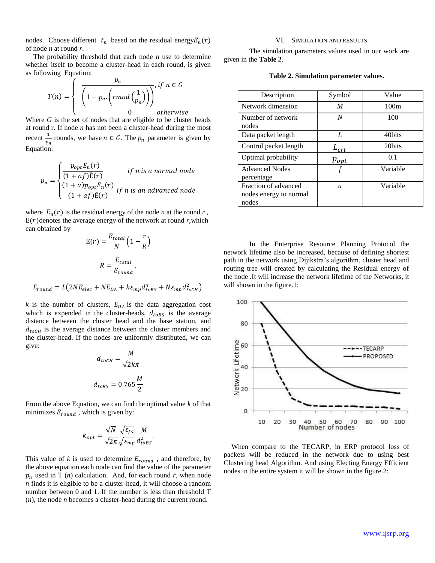nodes. Choose different  $t_n$  based on the residual energy  $E_n(r)$ of node *n* at round *r*.

The probability threshold that each node *n* use to determine whether itself to become a cluster-head in each round, is given as following Equation:

$$
T(n) = \begin{cases} \frac{p_n}{\left(1 - p_n \cdot \left(rmod\left(\frac{1}{p_n}\right)\right)\right)}, & \text{if } n \in G \\ 0 & \text{otherwise} \end{cases}
$$

Where *G* is the set of nodes that are eligible to be cluster heads at round r*.* If node *n* has not been a cluster-head during the most recent  $\frac{1}{x}$  $\frac{1}{p_n}$  rounds, we have  $n \in G$ . The  $p_n$  parameter is given by Equation:

$$
p_n = \begin{cases} \frac{p_{opt}E_n(r)}{(1 + af)\bar{E}(r)} & \text{if } n \text{ is a normal node} \\ \frac{(1 + a)p_{opt}E_n(r)}{(1 + af)\bar{E}(r)} & \text{if } n \text{ is an advanced node} \end{cases}
$$

where  $E_n(r)$  is the residual energy of the node *n* at the round *r*,  $\bar{E}(r)$  denotes the average energy of the network at round *r*, which can obtained by

$$
\bar{E}(r) = \frac{E_{total}}{N} \left( 1 - \frac{r}{R} \right)
$$

$$
R = \frac{E_{total}}{E_{round}},
$$

$$
E_{round} = L(2NE_{elec} + NE_{DA} + k\varepsilon_{mp}d_{toBS}^4 + N\varepsilon_{mp}d_{toCH}^2)
$$

 $k$  is the number of clusters,  $E_{DA}$  is the data aggregation cost which is expended in the cluster-heads,  $d_{toBS}$  is the average distance between the cluster head and the base station, and  $d_{toCH}$  is the average distance between the cluster members and the cluster-head. If the nodes are uniformly distributed, we can give:

$$
d_{toCH} = \frac{M}{\sqrt{2k\pi}}
$$

$$
d_{toBS} = 0.765 \frac{M}{2}
$$

From the above Equation, we can find the optimal value *k* of that minimizes  $E_{round}$ , which is given by:

$$
k_{opt} = \frac{\sqrt{N}}{\sqrt{2\pi}} \frac{\sqrt{\varepsilon_{fs}}}{\sqrt{\varepsilon_{mp}}} \frac{M}{d_{tobs}^2}.
$$

This value of *k* is used to determine  $E_{round}$ , and therefore, by the above equation each node can find the value of the parameter  $p_n$  used in T (*n*) calculation. And, for each round *r*, when node *n* finds it is eligible to be a cluster-head, it will choose a random number between 0 and 1. If the number is less than threshold T (*n*), the node *n* becomes a cluster-head during the current round.

# VI. SIMULATION AND RESULTS

The simulation parameters values used in our work are given in the **Table 2**.

| Table 2. Simulation parameter values. |  |
|---------------------------------------|--|
|---------------------------------------|--|

| Description                                             | Symbol    | Value    |
|---------------------------------------------------------|-----------|----------|
| Network dimension                                       | M         | 100m     |
| Number of network<br>nodes                              | N         | 100      |
| Data packet length                                      | L         | 40bits   |
| Control packet length                                   | $L_{crt}$ | 20bits   |
| Optimal probability                                     | $p_{opt}$ | 0.1      |
| <b>Advanced Nodes</b><br>percentage                     |           | Variable |
| Fraction of advanced<br>nodes energy to normal<br>nodes | a         | Variable |

In the Enterprise Resource Planning Protocol the network lifetime also be increased, because of defining shortest path in the network using Dijikstra's algorithm, cluster head and routing tree will created by calculating the Residual energy of the node .It will increase the network lifetime of the Networks, it will shown in the figure.1:



When compare to the TECARP, in ERP protocol loss of packets will be reduced in the network due to using best Clustering head Algorithm. And using Electing Energy Efficient nodes in the entire system it will be shown in the figure.2: